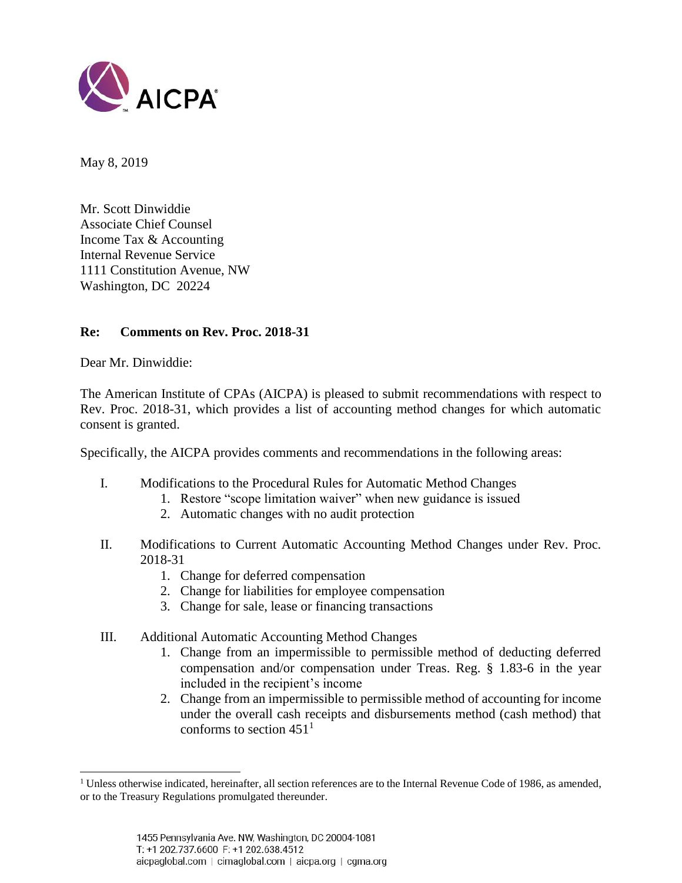

May 8, 2019

Mr. Scott Dinwiddie Associate Chief Counsel Income Tax & Accounting Internal Revenue Service 1111 Constitution Avenue, NW Washington, DC 20224

### **Re: Comments on Rev. Proc. 2018-31**

Dear Mr. Dinwiddie:

 $\overline{\phantom{a}}$ 

The American Institute of CPAs (AICPA) is pleased to submit recommendations with respect to Rev. Proc. 2018-31, which provides a list of accounting method changes for which automatic consent is granted.

Specifically, the AICPA provides comments and recommendations in the following areas:

- I. Modifications to the Procedural Rules for Automatic Method Changes
	- 1. Restore "scope limitation waiver" when new guidance is issued
	- 2. Automatic changes with no audit protection
- II. Modifications to Current Automatic Accounting Method Changes under Rev. Proc. 2018-31
	- 1. Change for deferred compensation
	- 2. Change for liabilities for employee compensation
	- 3. Change for sale, lease or financing transactions
- III. Additional Automatic Accounting Method Changes
	- 1. Change from an impermissible to permissible method of deducting deferred compensation and/or compensation under Treas. Reg. § 1.83-6 in the year included in the recipient's income
	- 2. Change from an impermissible to permissible method of accounting for income under the overall cash receipts and disbursements method (cash method) that conforms to section  $451<sup>1</sup>$

 $<sup>1</sup>$  Unless otherwise indicated, hereinafter, all section references are to the Internal Revenue Code of 1986, as amended,</sup> or to the Treasury Regulations promulgated thereunder.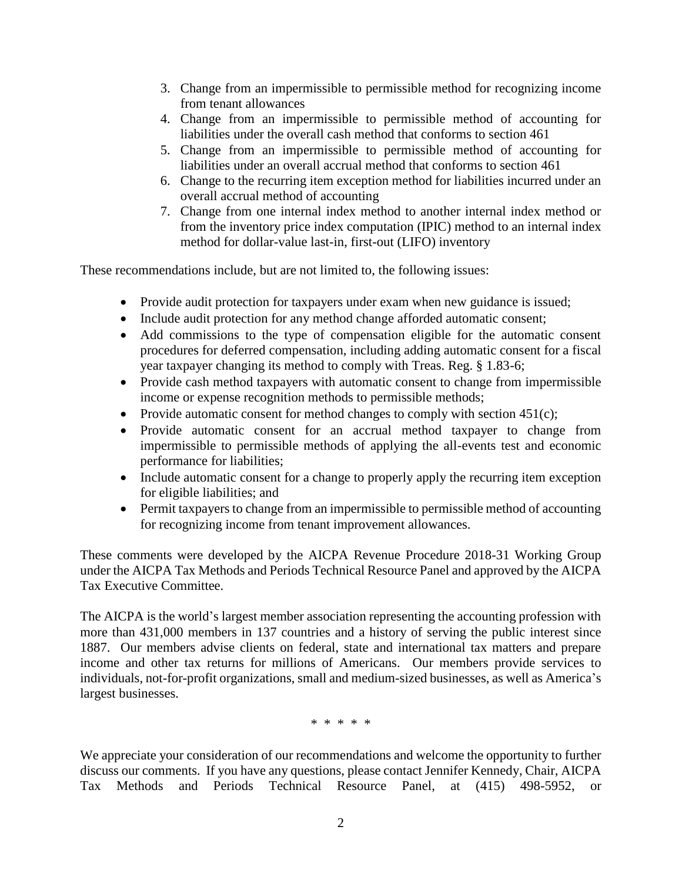- 3. Change from an impermissible to permissible method for recognizing income from tenant allowances
- 4. Change from an impermissible to permissible method of accounting for liabilities under the overall cash method that conforms to section 461
- 5. Change from an impermissible to permissible method of accounting for liabilities under an overall accrual method that conforms to section 461
- 6. Change to the recurring item exception method for liabilities incurred under an overall accrual method of accounting
- 7. Change from one internal index method to another internal index method or from the inventory price index computation (IPIC) method to an internal index method for dollar-value last-in, first-out (LIFO) inventory

These recommendations include, but are not limited to, the following issues:

- Provide audit protection for taxpayers under exam when new guidance is issued;
- Include audit protection for any method change afforded automatic consent;
- Add commissions to the type of compensation eligible for the automatic consent procedures for deferred compensation, including adding automatic consent for a fiscal year taxpayer changing its method to comply with Treas. Reg. § 1.83-6;
- Provide cash method taxpayers with automatic consent to change from impermissible income or expense recognition methods to permissible methods;
- Provide automatic consent for method changes to comply with section  $451(c)$ ;
- Provide automatic consent for an accrual method taxpayer to change from impermissible to permissible methods of applying the all-events test and economic performance for liabilities;
- Include automatic consent for a change to properly apply the recurring item exception for eligible liabilities; and
- Permit taxpayers to change from an impermissible to permissible method of accounting for recognizing income from tenant improvement allowances.

These comments were developed by the AICPA Revenue Procedure 2018-31 Working Group under the AICPA Tax Methods and Periods Technical Resource Panel and approved by the AICPA Tax Executive Committee.

The AICPA is the world's largest member association representing the accounting profession with more than 431,000 members in 137 countries and a history of serving the public interest since 1887. Our members advise clients on federal, state and international tax matters and prepare income and other tax returns for millions of Americans. Our members provide services to individuals, not-for-profit organizations, small and medium-sized businesses, as well as America's largest businesses.

\* \* \* \* \*

We appreciate your consideration of our recommendations and welcome the opportunity to further discuss our comments. If you have any questions, please contact Jennifer Kennedy, Chair, AICPA Tax Methods and Periods Technical Resource Panel, at (415) 498-5952, or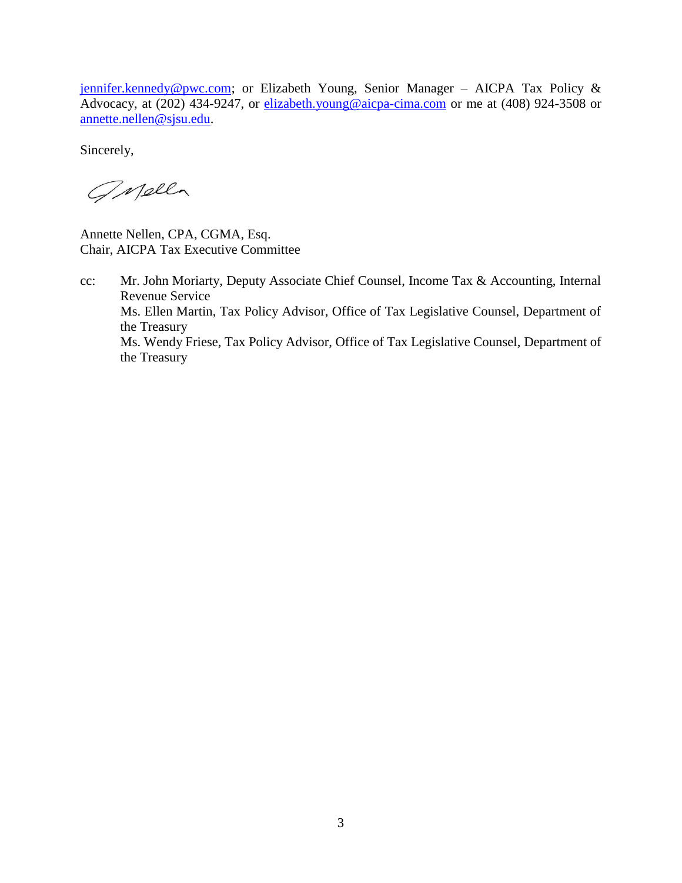[jennifer.kennedy@pwc.com;](mailto:jennifer.kennedy@pwc.com) or Elizabeth Young, Senior Manager - AICPA Tax Policy & Advocacy, at (202) 434-9247, or [elizabeth.young@aicpa-cima.com](mailto:elizabeth.young@aicpa-cima.com) or me at (408) 924-3508 or [annette.nellen@sjsu.edu.](mailto:annette.nellen@sjsu.edu)

Sincerely,

GMella

Annette Nellen, CPA, CGMA, Esq. Chair, AICPA Tax Executive Committee

cc: Mr. John Moriarty, Deputy Associate Chief Counsel, Income Tax & Accounting, Internal Revenue Service Ms. Ellen Martin, Tax Policy Advisor, Office of Tax Legislative Counsel, Department of the Treasury Ms. Wendy Friese, Tax Policy Advisor, Office of Tax Legislative Counsel, Department of the Treasury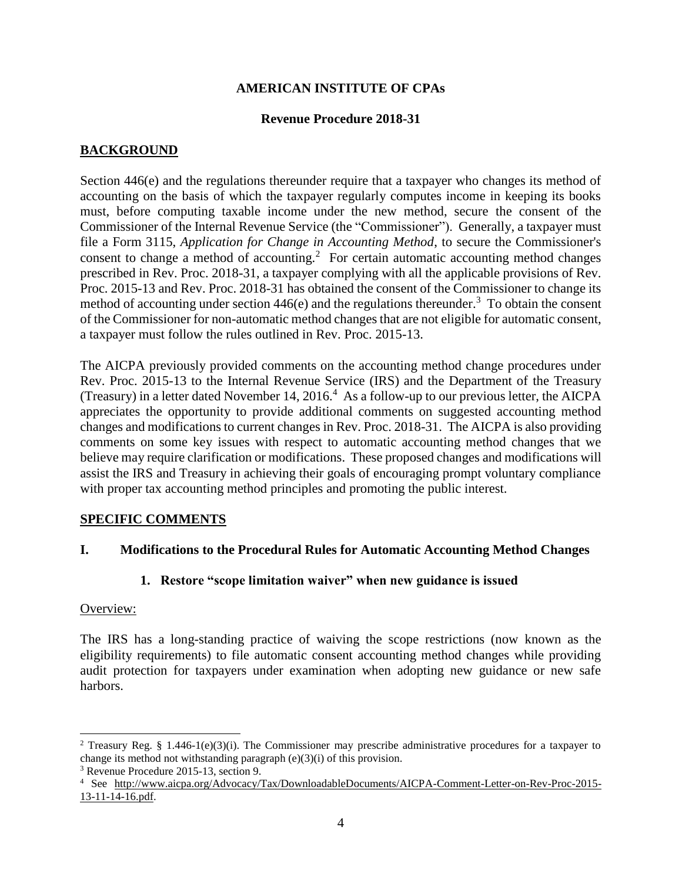### **AMERICAN INSTITUTE OF CPAs**

#### **Revenue Procedure 2018-31**

# **BACKGROUND**

Section 446(e) and the regulations thereunder require that a taxpayer who changes its method of accounting on the basis of which the taxpayer regularly computes income in keeping its books must, before computing taxable income under the new method, secure the consent of the Commissioner of the Internal Revenue Service (the "Commissioner"). Generally, a taxpayer must file a Form 3115, *Application for Change in Accounting Method*, to secure the Commissioner's consent to change a method of accounting.<sup>2</sup> For certain automatic accounting method changes prescribed in Rev. Proc. 2018-31, a taxpayer complying with all the applicable provisions of Rev. Proc. 2015-13 and Rev. Proc. 2018-31 has obtained the consent of the Commissioner to change its method of accounting under section  $446(e)$  and the regulations thereunder.<sup>3</sup> To obtain the consent of the Commissioner for non-automatic method changes that are not eligible for automatic consent, a taxpayer must follow the rules outlined in Rev. Proc. 2015-13.

The AICPA previously provided comments on the accounting method change procedures under Rev. Proc. 2015-13 to the Internal Revenue Service (IRS) and the Department of the Treasury (Treasury) in a letter dated November 14, 2016.<sup>4</sup> As a follow-up to our previous letter, the AICPA appreciates the opportunity to provide additional comments on suggested accounting method changes and modifications to current changes in Rev. Proc. 2018-31. The AICPA is also providing comments on some key issues with respect to automatic accounting method changes that we believe may require clarification or modifications. These proposed changes and modifications will assist the IRS and Treasury in achieving their goals of encouraging prompt voluntary compliance with proper tax accounting method principles and promoting the public interest.

## **SPECIFIC COMMENTS**

## **I. Modifications to the Procedural Rules for Automatic Accounting Method Changes**

## **1. Restore "scope limitation waiver" when new guidance is issued**

#### Overview:

 $\overline{\phantom{a}}$ 

The IRS has a long-standing practice of waiving the scope restrictions (now known as the eligibility requirements) to file automatic consent accounting method changes while providing audit protection for taxpayers under examination when adopting new guidance or new safe harbors.

<sup>&</sup>lt;sup>2</sup> Treasury Reg. § 1.446-1(e)(3)(i). The Commissioner may prescribe administrative procedures for a taxpayer to change its method not withstanding paragraph (e)(3)(i) of this provision.

<sup>3</sup> Revenue Procedure 2015-13, section 9.

<sup>4</sup> See [http://www.aicpa.org/Advocacy/Tax/DownloadableDocuments/AICPA-Comment-Letter-on-Rev-Proc-2015-](http://www.aicpa.org/Advocacy/Tax/DownloadableDocuments/AICPA-Comment-Letter-on-Rev-Proc-2015-13-11-14-16.pdf)  $13-11-14-16.pdf.$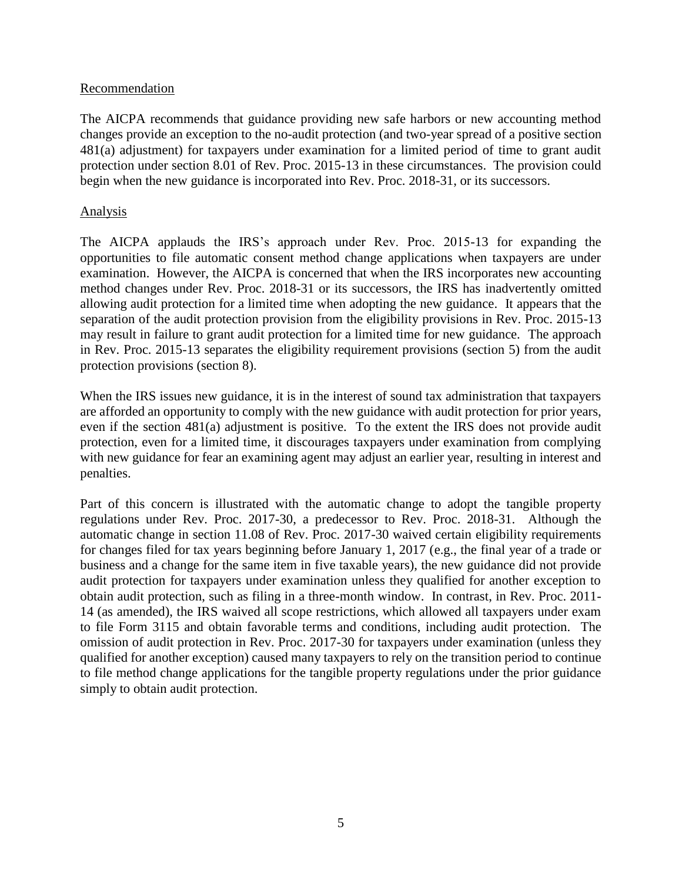#### **Recommendation**

The AICPA recommends that guidance providing new safe harbors or new accounting method changes provide an exception to the no-audit protection (and two-year spread of a positive section 481(a) adjustment) for taxpayers under examination for a limited period of time to grant audit protection under section 8.01 of Rev. Proc. 2015-13 in these circumstances. The provision could begin when the new guidance is incorporated into Rev. Proc. 2018-31, or its successors.

#### Analysis

The AICPA applauds the IRS's approach under Rev. Proc. 2015-13 for expanding the opportunities to file automatic consent method change applications when taxpayers are under examination. However, the AICPA is concerned that when the IRS incorporates new accounting method changes under Rev. Proc. 2018-31 or its successors, the IRS has inadvertently omitted allowing audit protection for a limited time when adopting the new guidance. It appears that the separation of the audit protection provision from the eligibility provisions in Rev. Proc. 2015-13 may result in failure to grant audit protection for a limited time for new guidance. The approach in Rev. Proc. 2015-13 separates the eligibility requirement provisions (section 5) from the audit protection provisions (section 8).

When the IRS issues new guidance, it is in the interest of sound tax administration that taxpayers are afforded an opportunity to comply with the new guidance with audit protection for prior years, even if the section 481(a) adjustment is positive. To the extent the IRS does not provide audit protection, even for a limited time, it discourages taxpayers under examination from complying with new guidance for fear an examining agent may adjust an earlier year, resulting in interest and penalties.

Part of this concern is illustrated with the automatic change to adopt the tangible property regulations under Rev. Proc. 2017-30, a predecessor to Rev. Proc. 2018-31. Although the automatic change in section 11.08 of Rev. Proc. 2017-30 waived certain eligibility requirements for changes filed for tax years beginning before January 1, 2017 (e.g., the final year of a trade or business and a change for the same item in five taxable years), the new guidance did not provide audit protection for taxpayers under examination unless they qualified for another exception to obtain audit protection, such as filing in a three-month window. In contrast, in Rev. Proc. 2011- 14 (as amended), the IRS waived all scope restrictions, which allowed all taxpayers under exam to file Form 3115 and obtain favorable terms and conditions, including audit protection. The omission of audit protection in Rev. Proc. 2017-30 for taxpayers under examination (unless they qualified for another exception) caused many taxpayers to rely on the transition period to continue to file method change applications for the tangible property regulations under the prior guidance simply to obtain audit protection.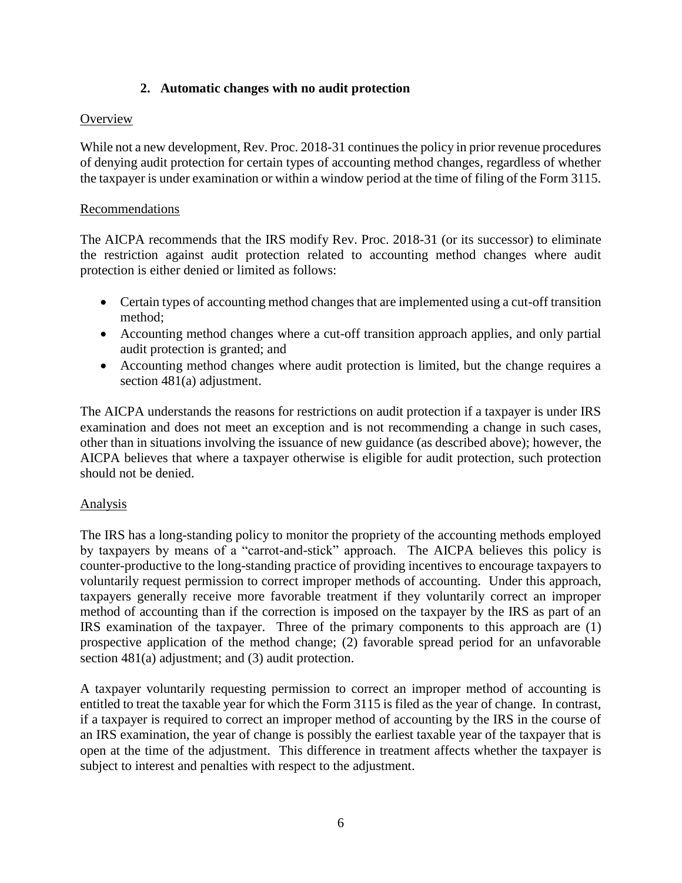## **2. Automatic changes with no audit protection**

# **Overview**

While not a new development, Rev. Proc. 2018-31 continues the policy in prior revenue procedures of denying audit protection for certain types of accounting method changes, regardless of whether the taxpayer is under examination or within a window period at the time of filing of the Form 3115.

## Recommendations

The AICPA recommends that the IRS modify Rev. Proc. 2018-31 (or its successor) to eliminate the restriction against audit protection related to accounting method changes where audit protection is either denied or limited as follows:

- Certain types of accounting method changes that are implemented using a cut-off transition method;
- Accounting method changes where a cut-off transition approach applies, and only partial audit protection is granted; and
- Accounting method changes where audit protection is limited, but the change requires a section 481(a) adjustment.

The AICPA understands the reasons for restrictions on audit protection if a taxpayer is under IRS examination and does not meet an exception and is not recommending a change in such cases, other than in situations involving the issuance of new guidance (as described above); however, the AICPA believes that where a taxpayer otherwise is eligible for audit protection, such protection should not be denied.

## Analysis

The IRS has a long-standing policy to monitor the propriety of the accounting methods employed by taxpayers by means of a "carrot-and-stick" approach. The AICPA believes this policy is counter-productive to the long-standing practice of providing incentives to encourage taxpayers to voluntarily request permission to correct improper methods of accounting. Under this approach, taxpayers generally receive more favorable treatment if they voluntarily correct an improper method of accounting than if the correction is imposed on the taxpayer by the IRS as part of an IRS examination of the taxpayer. Three of the primary components to this approach are (1) prospective application of the method change; (2) favorable spread period for an unfavorable section 481(a) adjustment; and (3) audit protection.

A taxpayer voluntarily requesting permission to correct an improper method of accounting is entitled to treat the taxable year for which the Form 3115 is filed as the year of change. In contrast, if a taxpayer is required to correct an improper method of accounting by the IRS in the course of an IRS examination, the year of change is possibly the earliest taxable year of the taxpayer that is open at the time of the adjustment. This difference in treatment affects whether the taxpayer is subject to interest and penalties with respect to the adjustment.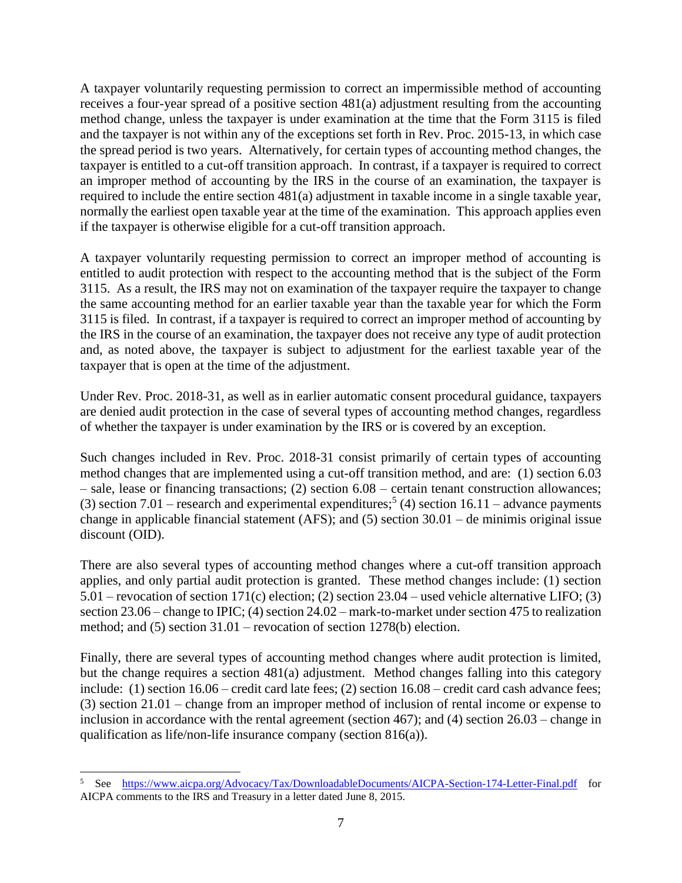A taxpayer voluntarily requesting permission to correct an impermissible method of accounting receives a four-year spread of a positive section 481(a) adjustment resulting from the accounting method change, unless the taxpayer is under examination at the time that the Form 3115 is filed and the taxpayer is not within any of the exceptions set forth in Rev. Proc. 2015-13, in which case the spread period is two years. Alternatively, for certain types of accounting method changes, the taxpayer is entitled to a cut-off transition approach. In contrast, if a taxpayer is required to correct an improper method of accounting by the IRS in the course of an examination, the taxpayer is required to include the entire section 481(a) adjustment in taxable income in a single taxable year, normally the earliest open taxable year at the time of the examination. This approach applies even if the taxpayer is otherwise eligible for a cut-off transition approach.

A taxpayer voluntarily requesting permission to correct an improper method of accounting is entitled to audit protection with respect to the accounting method that is the subject of the Form 3115. As a result, the IRS may not on examination of the taxpayer require the taxpayer to change the same accounting method for an earlier taxable year than the taxable year for which the Form 3115 is filed. In contrast, if a taxpayer is required to correct an improper method of accounting by the IRS in the course of an examination, the taxpayer does not receive any type of audit protection and, as noted above, the taxpayer is subject to adjustment for the earliest taxable year of the taxpayer that is open at the time of the adjustment.

Under Rev. Proc. 2018-31, as well as in earlier automatic consent procedural guidance, taxpayers are denied audit protection in the case of several types of accounting method changes, regardless of whether the taxpayer is under examination by the IRS or is covered by an exception.

Such changes included in Rev. Proc. 2018-31 consist primarily of certain types of accounting method changes that are implemented using a cut-off transition method, and are: (1) section 6.03 – sale, lease or financing transactions; (2) section 6.08 – certain tenant construction allowances; (3) section 7.01 – research and experimental expenditures;<sup>5</sup> (4) section 16.11 – advance payments change in applicable financial statement (AFS); and (5) section 30.01 – de minimis original issue discount (OID).

There are also several types of accounting method changes where a cut-off transition approach applies, and only partial audit protection is granted. These method changes include: (1) section 5.01 – revocation of section 171(c) election; (2) section 23.04 – used vehicle alternative LIFO; (3) section 23.06 – change to IPIC; (4) section 24.02 – mark-to-market under section 475 to realization method; and (5) section 31.01 – revocation of section 1278(b) election.

Finally, there are several types of accounting method changes where audit protection is limited, but the change requires a section 481(a) adjustment. Method changes falling into this category include: (1) section 16.06 – credit card late fees; (2) section 16.08 – credit card cash advance fees; (3) section 21.01 – change from an improper method of inclusion of rental income or expense to inclusion in accordance with the rental agreement (section 467); and (4) section 26.03 – change in qualification as life/non-life insurance company (section 816(a)).

 $\overline{\phantom{a}}$ 

<sup>&</sup>lt;sup>5</sup> See <https://www.aicpa.org/Advocacy/Tax/DownloadableDocuments/AICPA-Section-174-Letter-Final.pdf> for AICPA comments to the IRS and Treasury in a letter dated June 8, 2015.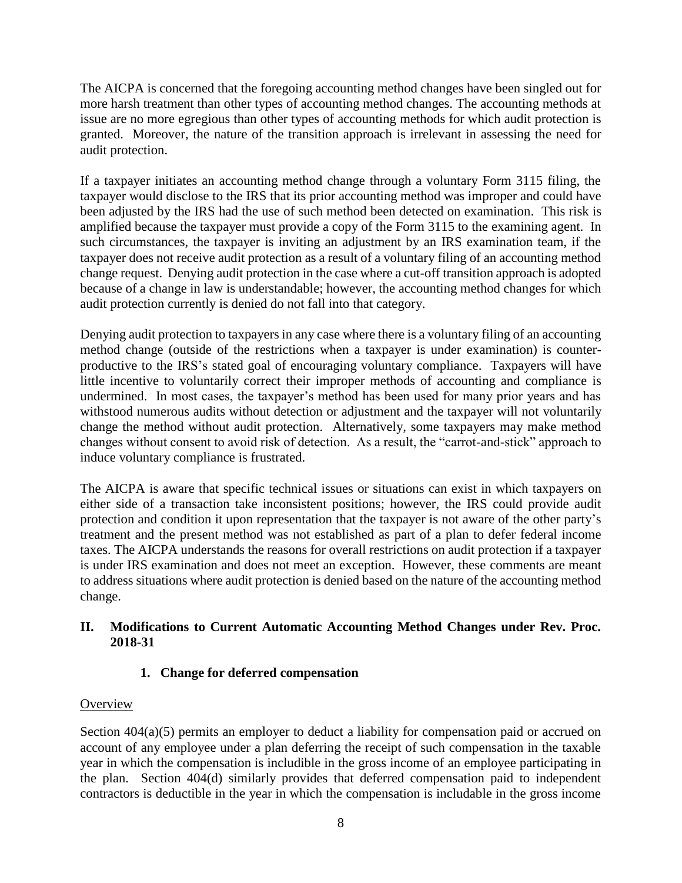The AICPA is concerned that the foregoing accounting method changes have been singled out for more harsh treatment than other types of accounting method changes. The accounting methods at issue are no more egregious than other types of accounting methods for which audit protection is granted. Moreover, the nature of the transition approach is irrelevant in assessing the need for audit protection.

If a taxpayer initiates an accounting method change through a voluntary Form 3115 filing, the taxpayer would disclose to the IRS that its prior accounting method was improper and could have been adjusted by the IRS had the use of such method been detected on examination. This risk is amplified because the taxpayer must provide a copy of the Form 3115 to the examining agent. In such circumstances, the taxpayer is inviting an adjustment by an IRS examination team, if the taxpayer does not receive audit protection as a result of a voluntary filing of an accounting method change request. Denying audit protection in the case where a cut-off transition approach is adopted because of a change in law is understandable; however, the accounting method changes for which audit protection currently is denied do not fall into that category.

Denying audit protection to taxpayers in any case where there is a voluntary filing of an accounting method change (outside of the restrictions when a taxpayer is under examination) is counterproductive to the IRS's stated goal of encouraging voluntary compliance. Taxpayers will have little incentive to voluntarily correct their improper methods of accounting and compliance is undermined. In most cases, the taxpayer's method has been used for many prior years and has withstood numerous audits without detection or adjustment and the taxpayer will not voluntarily change the method without audit protection. Alternatively, some taxpayers may make method changes without consent to avoid risk of detection. As a result, the "carrot-and-stick" approach to induce voluntary compliance is frustrated.

The AICPA is aware that specific technical issues or situations can exist in which taxpayers on either side of a transaction take inconsistent positions; however, the IRS could provide audit protection and condition it upon representation that the taxpayer is not aware of the other party's treatment and the present method was not established as part of a plan to defer federal income taxes. The AICPA understands the reasons for overall restrictions on audit protection if a taxpayer is under IRS examination and does not meet an exception. However, these comments are meant to address situations where audit protection is denied based on the nature of the accounting method change.

## **II. Modifications to Current Automatic Accounting Method Changes under Rev. Proc. 2018-31**

# **1. Change for deferred compensation**

## **Overview**

Section  $404(a)(5)$  permits an employer to deduct a liability for compensation paid or accrued on account of any employee under a plan deferring the receipt of such compensation in the taxable year in which the compensation is includible in the gross income of an employee participating in the plan. Section 404(d) similarly provides that deferred compensation paid to independent contractors is deductible in the year in which the compensation is includable in the gross income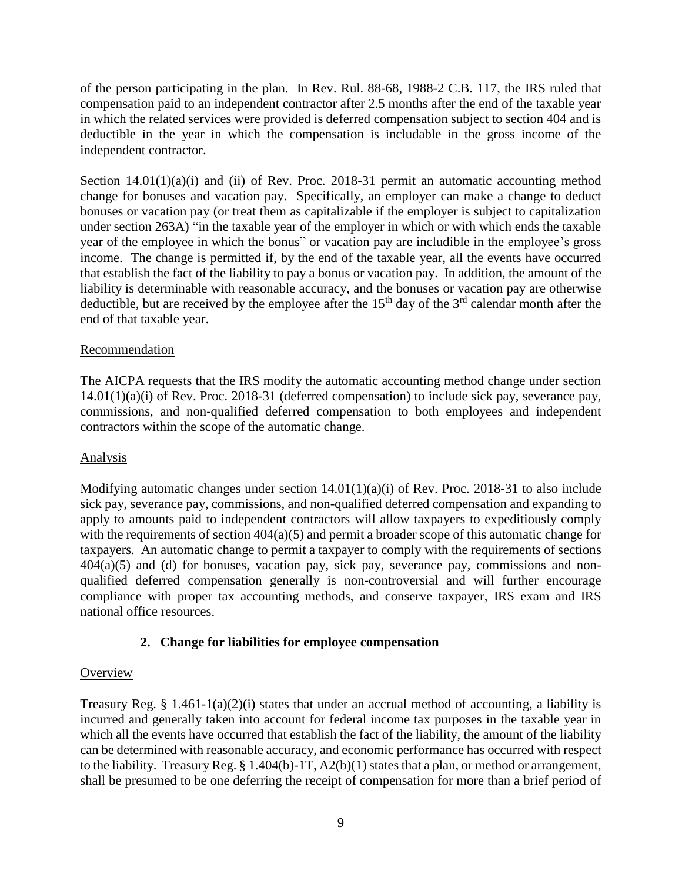of the person participating in the plan. In Rev. Rul. 88-68, 1988-2 C.B. 117, the IRS ruled that compensation paid to an independent contractor after 2.5 months after the end of the taxable year in which the related services were provided is deferred compensation subject to section 404 and is deductible in the year in which the compensation is includable in the gross income of the independent contractor.

Section 14.01(1)(a)(i) and (ii) of Rev. Proc. 2018-31 permit an automatic accounting method change for bonuses and vacation pay. Specifically, an employer can make a change to deduct bonuses or vacation pay (or treat them as capitalizable if the employer is subject to capitalization under section 263A) "in the taxable year of the employer in which or with which ends the taxable year of the employee in which the bonus" or vacation pay are includible in the employee's gross income. The change is permitted if, by the end of the taxable year, all the events have occurred that establish the fact of the liability to pay a bonus or vacation pay. In addition, the amount of the liability is determinable with reasonable accuracy, and the bonuses or vacation pay are otherwise deductible, but are received by the employee after the  $15<sup>th</sup>$  day of the  $3<sup>rd</sup>$  calendar month after the end of that taxable year.

### Recommendation

The AICPA requests that the IRS modify the automatic accounting method change under section 14.01(1)(a)(i) of Rev. Proc. 2018-31 (deferred compensation) to include sick pay, severance pay, commissions, and non-qualified deferred compensation to both employees and independent contractors within the scope of the automatic change.

#### Analysis

Modifying automatic changes under section  $14.01(1)(a)(i)$  of Rev. Proc. 2018-31 to also include sick pay, severance pay, commissions, and non-qualified deferred compensation and expanding to apply to amounts paid to independent contractors will allow taxpayers to expeditiously comply with the requirements of section  $404(a)(5)$  and permit a broader scope of this automatic change for taxpayers. An automatic change to permit a taxpayer to comply with the requirements of sections  $404(a)(5)$  and (d) for bonuses, vacation pay, sick pay, severance pay, commissions and nonqualified deferred compensation generally is non-controversial and will further encourage compliance with proper tax accounting methods, and conserve taxpayer, IRS exam and IRS national office resources.

## **2. Change for liabilities for employee compensation**

#### **Overview**

Treasury Reg. § 1.461-1(a)(2)(i) states that under an accrual method of accounting, a liability is incurred and generally taken into account for federal income tax purposes in the taxable year in which all the events have occurred that establish the fact of the liability, the amount of the liability can be determined with reasonable accuracy, and economic performance has occurred with respect to the liability. Treasury Reg. § 1.404(b)-1T, A2(b)(1) states that a plan, or method or arrangement, shall be presumed to be one deferring the receipt of compensation for more than a brief period of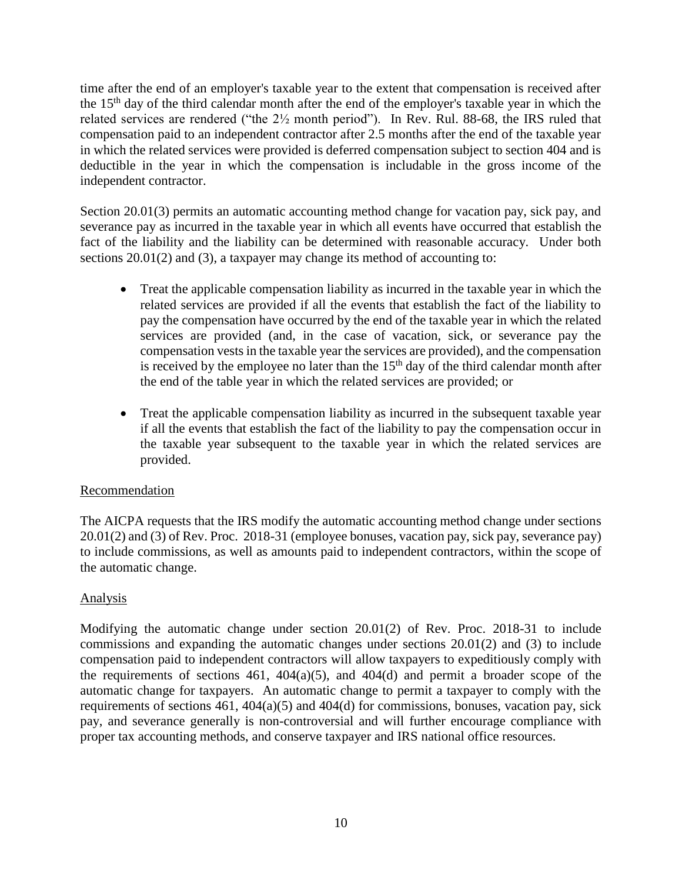time after the end of an employer's taxable year to the extent that compensation is received after the 15<sup>th</sup> day of the third calendar month after the end of the employer's taxable year in which the related services are rendered ("the 2½ month period"). In Rev. Rul. 88-68, the IRS ruled that compensation paid to an independent contractor after 2.5 months after the end of the taxable year in which the related services were provided is deferred compensation subject to section 404 and is deductible in the year in which the compensation is includable in the gross income of the independent contractor.

Section 20.01(3) permits an automatic accounting method change for vacation pay, sick pay, and severance pay as incurred in the taxable year in which all events have occurred that establish the fact of the liability and the liability can be determined with reasonable accuracy. Under both sections 20.01(2) and (3), a taxpayer may change its method of accounting to:

- Treat the applicable compensation liability as incurred in the taxable year in which the related services are provided if all the events that establish the fact of the liability to pay the compensation have occurred by the end of the taxable year in which the related services are provided (and, in the case of vacation, sick, or severance pay the compensation vests in the taxable year the services are provided), and the compensation is received by the employee no later than the  $15<sup>th</sup>$  day of the third calendar month after the end of the table year in which the related services are provided; or
- Treat the applicable compensation liability as incurred in the subsequent taxable year if all the events that establish the fact of the liability to pay the compensation occur in the taxable year subsequent to the taxable year in which the related services are provided.

## Recommendation

The AICPA requests that the IRS modify the automatic accounting method change under sections 20.01(2) and (3) of Rev. Proc. 2018-31 (employee bonuses, vacation pay, sick pay, severance pay) to include commissions, as well as amounts paid to independent contractors, within the scope of the automatic change.

# Analysis

Modifying the automatic change under section 20.01(2) of Rev. Proc. 2018-31 to include commissions and expanding the automatic changes under sections 20.01(2) and (3) to include compensation paid to independent contractors will allow taxpayers to expeditiously comply with the requirements of sections 461,  $404(a)(5)$ , and  $404(d)$  and permit a broader scope of the automatic change for taxpayers. An automatic change to permit a taxpayer to comply with the requirements of sections  $461$ ,  $404(a)(5)$  and  $404(d)$  for commissions, bonuses, vacation pay, sick pay, and severance generally is non-controversial and will further encourage compliance with proper tax accounting methods, and conserve taxpayer and IRS national office resources.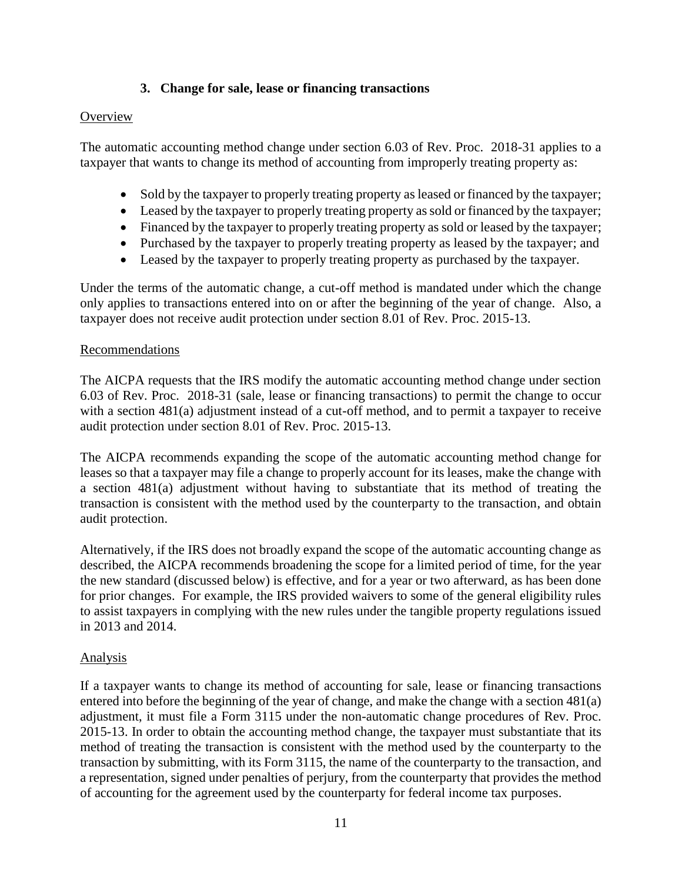## **3. Change for sale, lease or financing transactions**

#### **Overview**

The automatic accounting method change under section 6.03 of Rev. Proc. 2018-31 applies to a taxpayer that wants to change its method of accounting from improperly treating property as:

- Sold by the taxpayer to properly treating property as leased or financed by the taxpayer;
- Leased by the taxpayer to properly treating property as sold or financed by the taxpayer;
- Financed by the taxpayer to properly treating property as sold or leased by the taxpayer;
- Purchased by the taxpayer to properly treating property as leased by the taxpayer; and
- Leased by the taxpayer to properly treating property as purchased by the taxpayer.

Under the terms of the automatic change, a cut-off method is mandated under which the change only applies to transactions entered into on or after the beginning of the year of change. Also, a taxpayer does not receive audit protection under section 8.01 of Rev. Proc. 2015-13.

#### Recommendations

The AICPA requests that the IRS modify the automatic accounting method change under section 6.03 of Rev. Proc. 2018-31 (sale, lease or financing transactions) to permit the change to occur with a section 481(a) adjustment instead of a cut-off method, and to permit a taxpayer to receive audit protection under section 8.01 of Rev. Proc. 2015-13.

The AICPA recommends expanding the scope of the automatic accounting method change for leases so that a taxpayer may file a change to properly account for its leases, make the change with a section 481(a) adjustment without having to substantiate that its method of treating the transaction is consistent with the method used by the counterparty to the transaction, and obtain audit protection.

Alternatively, if the IRS does not broadly expand the scope of the automatic accounting change as described, the AICPA recommends broadening the scope for a limited period of time, for the year the new standard (discussed below) is effective, and for a year or two afterward, as has been done for prior changes. For example, the IRS provided waivers to some of the general eligibility rules to assist taxpayers in complying with the new rules under the tangible property regulations issued in 2013 and 2014.

#### Analysis

If a taxpayer wants to change its method of accounting for sale, lease or financing transactions entered into before the beginning of the year of change, and make the change with a section 481(a) adjustment, it must file a Form 3115 under the non-automatic change procedures of Rev. Proc. 2015-13. In order to obtain the accounting method change, the taxpayer must substantiate that its method of treating the transaction is consistent with the method used by the counterparty to the transaction by submitting, with its Form 3115, the name of the counterparty to the transaction, and a representation, signed under penalties of perjury, from the counterparty that provides the method of accounting for the agreement used by the counterparty for federal income tax purposes.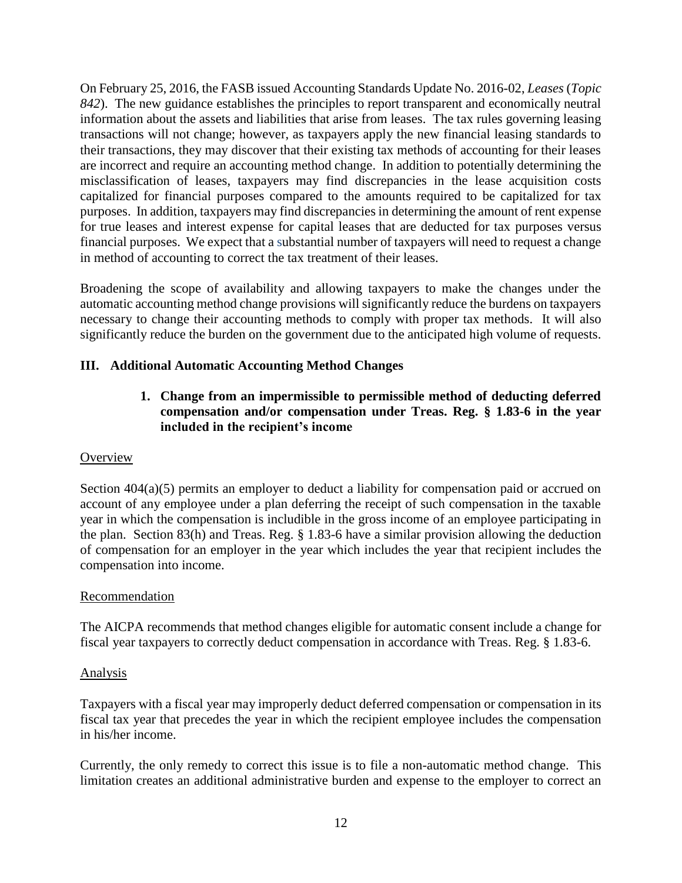On February 25, 2016, the FASB issued Accounting Standards Update No. 2016-02, *Leases* (*Topic 842*). The new guidance establishes the principles to report transparent and economically neutral information about the assets and liabilities that arise from leases. The tax rules governing leasing transactions will not change; however, as taxpayers apply the new financial leasing standards to their transactions, they may discover that their existing tax methods of accounting for their leases are incorrect and require an accounting method change. In addition to potentially determining the misclassification of leases, taxpayers may find discrepancies in the lease acquisition costs capitalized for financial purposes compared to the amounts required to be capitalized for tax purposes. In addition, taxpayers may find discrepancies in determining the amount of rent expense for true leases and interest expense for capital leases that are deducted for tax purposes versus financial purposes. We expect that a substantial number of taxpayers will need to request a change in method of accounting to correct the tax treatment of their leases.

Broadening the scope of availability and allowing taxpayers to make the changes under the automatic accounting method change provisions will significantly reduce the burdens on taxpayers necessary to change their accounting methods to comply with proper tax methods. It will also significantly reduce the burden on the government due to the anticipated high volume of requests.

# **III. Additional Automatic Accounting Method Changes**

**1. Change from an impermissible to permissible method of deducting deferred compensation and/or compensation under Treas. Reg. § 1.83-6 in the year included in the recipient's income**

## **Overview**

Section  $404(a)(5)$  permits an employer to deduct a liability for compensation paid or accrued on account of any employee under a plan deferring the receipt of such compensation in the taxable year in which the compensation is includible in the gross income of an employee participating in the plan. Section 83(h) and Treas. Reg. § 1.83-6 have a similar provision allowing the deduction of compensation for an employer in the year which includes the year that recipient includes the compensation into income.

#### Recommendation

The AICPA recommends that method changes eligible for automatic consent include a change for fiscal year taxpayers to correctly deduct compensation in accordance with Treas. Reg. § 1.83-6.

#### Analysis

Taxpayers with a fiscal year may improperly deduct deferred compensation or compensation in its fiscal tax year that precedes the year in which the recipient employee includes the compensation in his/her income.

Currently, the only remedy to correct this issue is to file a non-automatic method change. This limitation creates an additional administrative burden and expense to the employer to correct an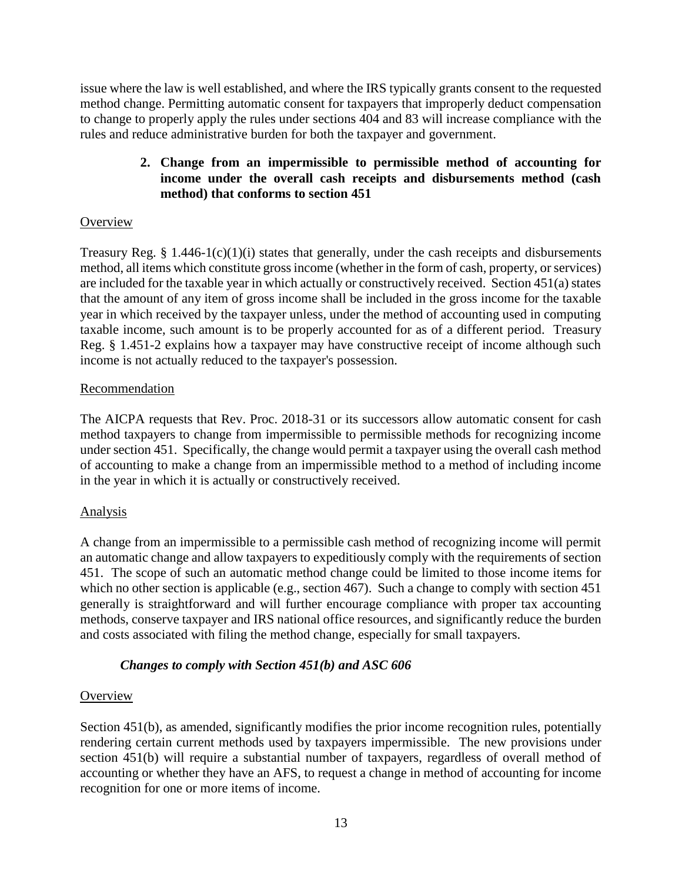issue where the law is well established, and where the IRS typically grants consent to the requested method change. Permitting automatic consent for taxpayers that improperly deduct compensation to change to properly apply the rules under sections 404 and 83 will increase compliance with the rules and reduce administrative burden for both the taxpayer and government.

## **2. Change from an impermissible to permissible method of accounting for income under the overall cash receipts and disbursements method (cash method) that conforms to section 451**

## **Overview**

Treasury Reg.  $\S 1.446-1(c)(1)(i)$  states that generally, under the cash receipts and disbursements method, all items which constitute gross income (whether in the form of cash, property, or services) are included for the taxable year in which actually or constructively received. Section 451(a) states that the amount of any item of gross income shall be included in the gross income for the taxable year in which received by the taxpayer unless, under the method of accounting used in computing taxable income, such amount is to be properly accounted for as of a different period. Treasury Reg. § 1.451-2 explains how a taxpayer may have constructive receipt of income although such income is not actually reduced to the taxpayer's possession.

# Recommendation

The AICPA requests that Rev. Proc. 2018-31 or its successors allow automatic consent for cash method taxpayers to change from impermissible to permissible methods for recognizing income under section 451. Specifically, the change would permit a taxpayer using the overall cash method of accounting to make a change from an impermissible method to a method of including income in the year in which it is actually or constructively received.

# Analysis

A change from an impermissible to a permissible cash method of recognizing income will permit an automatic change and allow taxpayers to expeditiously comply with the requirements of section 451. The scope of such an automatic method change could be limited to those income items for which no other section is applicable (e.g., section 467). Such a change to comply with section 451 generally is straightforward and will further encourage compliance with proper tax accounting methods, conserve taxpayer and IRS national office resources, and significantly reduce the burden and costs associated with filing the method change, especially for small taxpayers.

## *Changes to comply with Section 451(b) and ASC 606*

## **Overview**

Section 451(b), as amended, significantly modifies the prior income recognition rules, potentially rendering certain current methods used by taxpayers impermissible. The new provisions under section 451(b) will require a substantial number of taxpayers, regardless of overall method of accounting or whether they have an AFS, to request a change in method of accounting for income recognition for one or more items of income.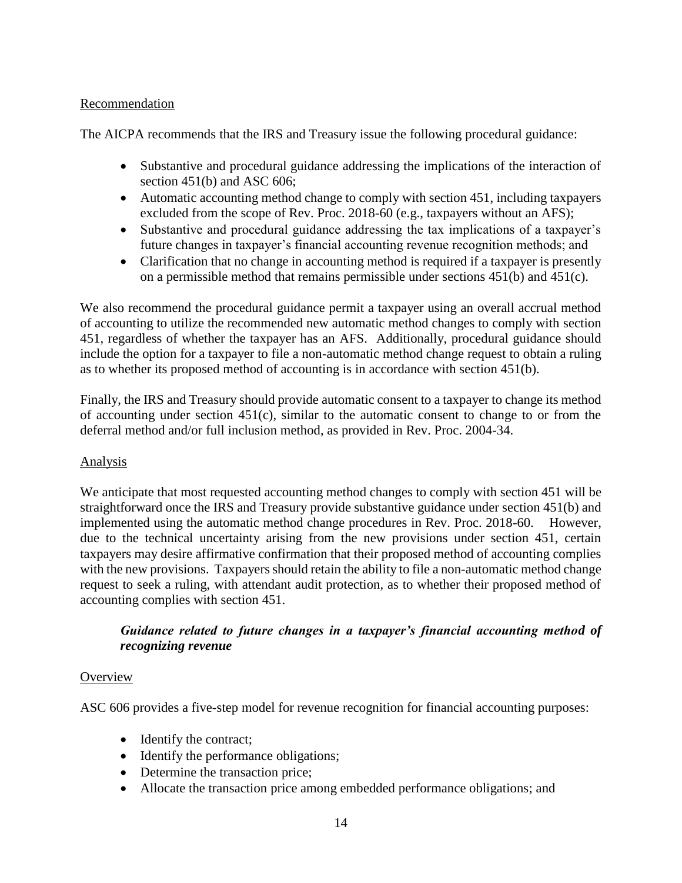### Recommendation

The AICPA recommends that the IRS and Treasury issue the following procedural guidance:

- Substantive and procedural guidance addressing the implications of the interaction of section 451(b) and ASC 606;
- Automatic accounting method change to comply with section 451, including taxpayers excluded from the scope of Rev. Proc. 2018-60 (e.g., taxpayers without an AFS);
- Substantive and procedural guidance addressing the tax implications of a taxpayer's future changes in taxpayer's financial accounting revenue recognition methods; and
- Clarification that no change in accounting method is required if a taxpayer is presently on a permissible method that remains permissible under sections 451(b) and 451(c).

We also recommend the procedural guidance permit a taxpayer using an overall accrual method of accounting to utilize the recommended new automatic method changes to comply with section 451, regardless of whether the taxpayer has an AFS. Additionally, procedural guidance should include the option for a taxpayer to file a non-automatic method change request to obtain a ruling as to whether its proposed method of accounting is in accordance with section 451(b).

Finally, the IRS and Treasury should provide automatic consent to a taxpayer to change its method of accounting under section 451(c), similar to the automatic consent to change to or from the deferral method and/or full inclusion method, as provided in Rev. Proc. 2004-34.

## Analysis

We anticipate that most requested accounting method changes to comply with section 451 will be straightforward once the IRS and Treasury provide substantive guidance under section 451(b) and implemented using the automatic method change procedures in Rev. Proc. 2018-60. However, due to the technical uncertainty arising from the new provisions under section 451, certain taxpayers may desire affirmative confirmation that their proposed method of accounting complies with the new provisions. Taxpayers should retain the ability to file a non-automatic method change request to seek a ruling, with attendant audit protection, as to whether their proposed method of accounting complies with section 451.

## *Guidance related to future changes in a taxpayer's financial accounting method of recognizing revenue*

#### **Overview**

ASC 606 provides a five-step model for revenue recognition for financial accounting purposes:

- Identify the contract;
- Identify the performance obligations;
- Determine the transaction price;
- Allocate the transaction price among embedded performance obligations; and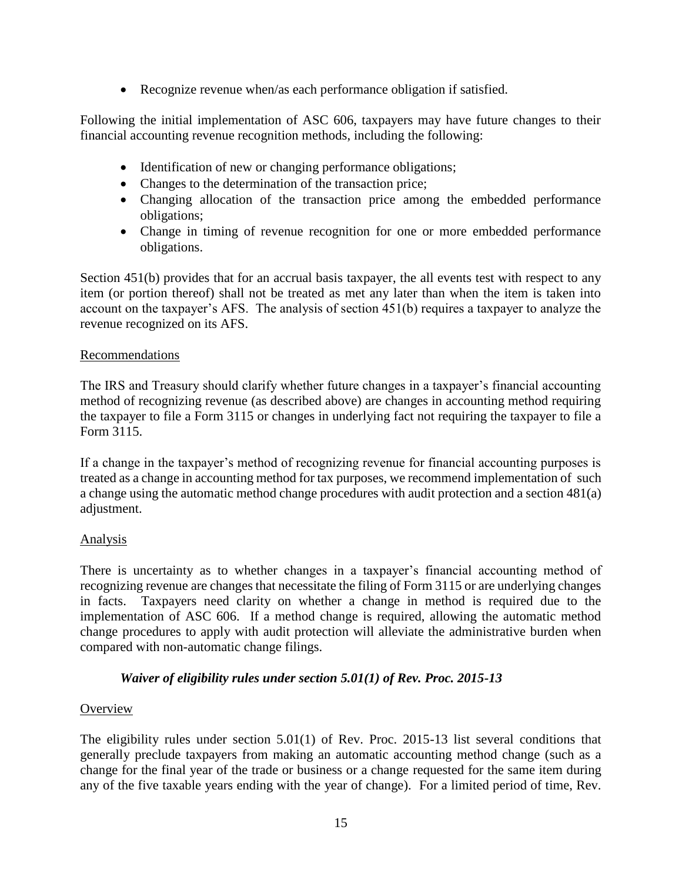• Recognize revenue when/as each performance obligation if satisfied.

Following the initial implementation of ASC 606, taxpayers may have future changes to their financial accounting revenue recognition methods, including the following:

- Identification of new or changing performance obligations;
- Changes to the determination of the transaction price;
- Changing allocation of the transaction price among the embedded performance obligations;
- Change in timing of revenue recognition for one or more embedded performance obligations.

Section 451(b) provides that for an accrual basis taxpayer, the all events test with respect to any item (or portion thereof) shall not be treated as met any later than when the item is taken into account on the taxpayer's AFS. The analysis of section 451(b) requires a taxpayer to analyze the revenue recognized on its AFS.

### Recommendations

The IRS and Treasury should clarify whether future changes in a taxpayer's financial accounting method of recognizing revenue (as described above) are changes in accounting method requiring the taxpayer to file a Form 3115 or changes in underlying fact not requiring the taxpayer to file a Form 3115.

If a change in the taxpayer's method of recognizing revenue for financial accounting purposes is treated as a change in accounting method for tax purposes, we recommend implementation of such a change using the automatic method change procedures with audit protection and a section 481(a) adjustment.

## Analysis

There is uncertainty as to whether changes in a taxpayer's financial accounting method of recognizing revenue are changes that necessitate the filing of Form 3115 or are underlying changes in facts. Taxpayers need clarity on whether a change in method is required due to the implementation of ASC 606. If a method change is required, allowing the automatic method change procedures to apply with audit protection will alleviate the administrative burden when compared with non-automatic change filings.

## *Waiver of eligibility rules under section 5.01(1) of Rev. Proc. 2015-13*

## **Overview**

The eligibility rules under section 5.01(1) of Rev. Proc. 2015-13 list several conditions that generally preclude taxpayers from making an automatic accounting method change (such as a change for the final year of the trade or business or a change requested for the same item during any of the five taxable years ending with the year of change). For a limited period of time, Rev.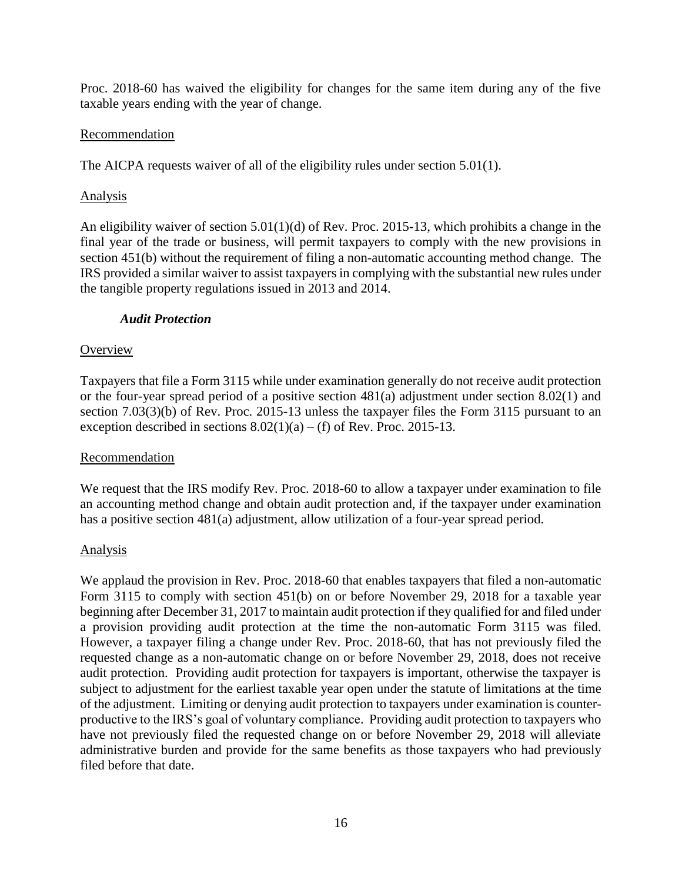Proc. 2018-60 has waived the eligibility for changes for the same item during any of the five taxable years ending with the year of change.

### Recommendation

The AICPA requests waiver of all of the eligibility rules under section 5.01(1).

### Analysis

An eligibility waiver of section  $5.01(1)(d)$  of Rev. Proc. 2015-13, which prohibits a change in the final year of the trade or business, will permit taxpayers to comply with the new provisions in section 451(b) without the requirement of filing a non-automatic accounting method change. The IRS provided a similar waiver to assist taxpayers in complying with the substantial new rules under the tangible property regulations issued in 2013 and 2014.

#### *Audit Protection*

### **Overview**

Taxpayers that file a Form 3115 while under examination generally do not receive audit protection or the four-year spread period of a positive section 481(a) adjustment under section 8.02(1) and section 7.03(3)(b) of Rev. Proc. 2015-13 unless the taxpayer files the Form 3115 pursuant to an exception described in sections  $8.02(1)(a) - (f)$  of Rev. Proc. 2015-13.

## Recommendation

We request that the IRS modify Rev. Proc. 2018-60 to allow a taxpayer under examination to file an accounting method change and obtain audit protection and, if the taxpayer under examination has a positive section 481(a) adjustment, allow utilization of a four-year spread period.

#### Analysis

We applaud the provision in Rev. Proc. 2018-60 that enables taxpayers that filed a non-automatic Form 3115 to comply with section 451(b) on or before November 29, 2018 for a taxable year beginning after December 31, 2017 to maintain audit protection if they qualified for and filed under a provision providing audit protection at the time the non-automatic Form 3115 was filed. However, a taxpayer filing a change under Rev. Proc. 2018-60, that has not previously filed the requested change as a non-automatic change on or before November 29, 2018, does not receive audit protection. Providing audit protection for taxpayers is important, otherwise the taxpayer is subject to adjustment for the earliest taxable year open under the statute of limitations at the time of the adjustment. Limiting or denying audit protection to taxpayers under examination is counterproductive to the IRS's goal of voluntary compliance. Providing audit protection to taxpayers who have not previously filed the requested change on or before November 29, 2018 will alleviate administrative burden and provide for the same benefits as those taxpayers who had previously filed before that date.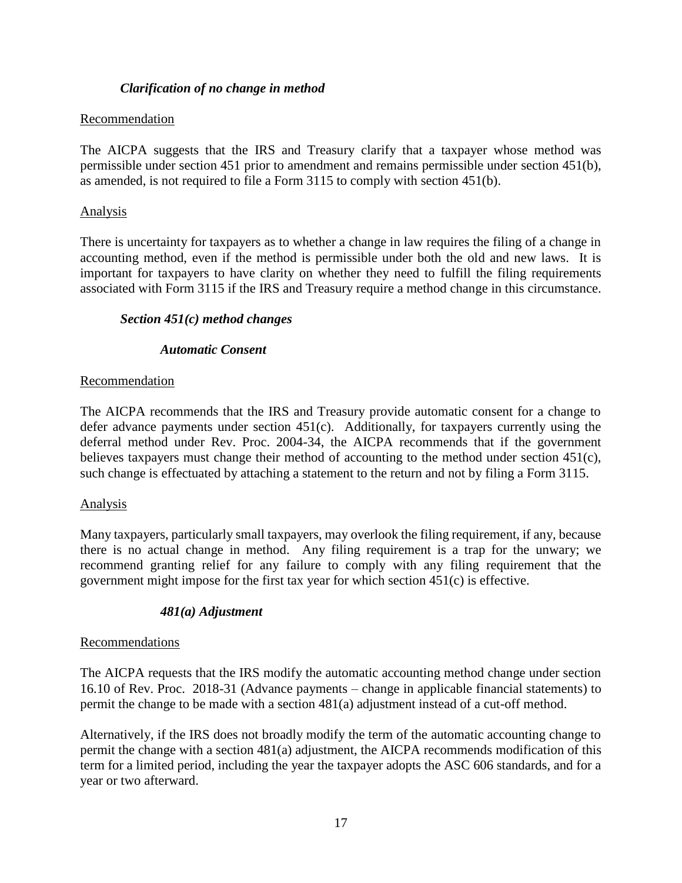### *Clarification of no change in method*

#### Recommendation

The AICPA suggests that the IRS and Treasury clarify that a taxpayer whose method was permissible under section 451 prior to amendment and remains permissible under section 451(b), as amended, is not required to file a Form 3115 to comply with section 451(b).

#### Analysis

There is uncertainty for taxpayers as to whether a change in law requires the filing of a change in accounting method, even if the method is permissible under both the old and new laws. It is important for taxpayers to have clarity on whether they need to fulfill the filing requirements associated with Form 3115 if the IRS and Treasury require a method change in this circumstance.

### *Section 451(c) method changes*

### *Automatic Consent*

### Recommendation

The AICPA recommends that the IRS and Treasury provide automatic consent for a change to defer advance payments under section 451(c). Additionally, for taxpayers currently using the deferral method under Rev. Proc. 2004-34, the AICPA recommends that if the government believes taxpayers must change their method of accounting to the method under section 451(c), such change is effectuated by attaching a statement to the return and not by filing a Form 3115.

#### Analysis

Many taxpayers, particularly small taxpayers, may overlook the filing requirement, if any, because there is no actual change in method. Any filing requirement is a trap for the unwary; we recommend granting relief for any failure to comply with any filing requirement that the government might impose for the first tax year for which section 451(c) is effective.

#### *481(a) Adjustment*

#### Recommendations

The AICPA requests that the IRS modify the automatic accounting method change under section 16.10 of Rev. Proc. 2018-31 (Advance payments – change in applicable financial statements) to permit the change to be made with a section 481(a) adjustment instead of a cut-off method.

Alternatively, if the IRS does not broadly modify the term of the automatic accounting change to permit the change with a section 481(a) adjustment, the AICPA recommends modification of this term for a limited period, including the year the taxpayer adopts the ASC 606 standards, and for a year or two afterward.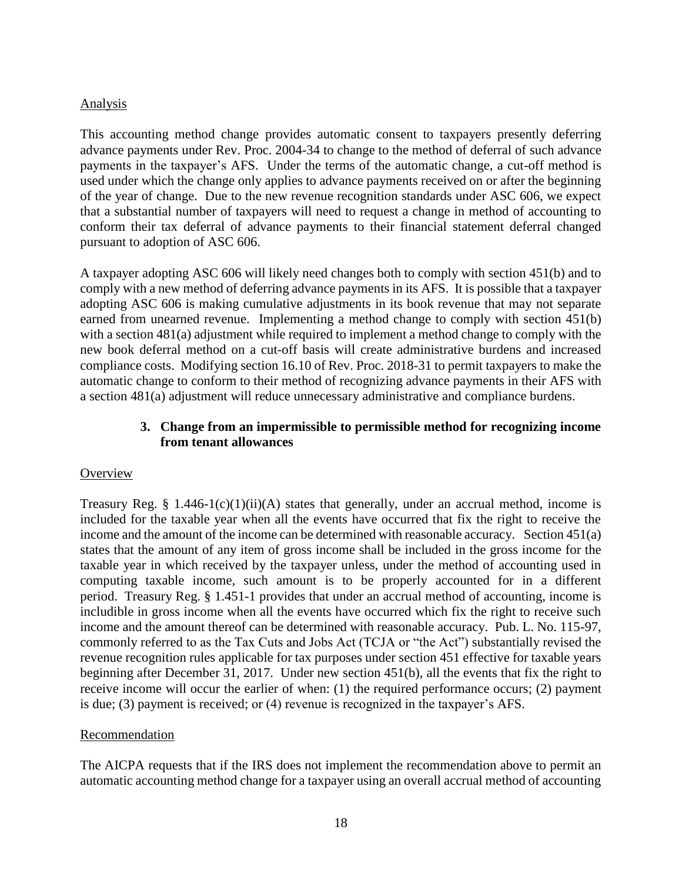### Analysis

This accounting method change provides automatic consent to taxpayers presently deferring advance payments under Rev. Proc. 2004-34 to change to the method of deferral of such advance payments in the taxpayer's AFS. Under the terms of the automatic change, a cut-off method is used under which the change only applies to advance payments received on or after the beginning of the year of change. Due to the new revenue recognition standards under ASC 606, we expect that a substantial number of taxpayers will need to request a change in method of accounting to conform their tax deferral of advance payments to their financial statement deferral changed pursuant to adoption of ASC 606.

A taxpayer adopting ASC 606 will likely need changes both to comply with section 451(b) and to comply with a new method of deferring advance payments in its AFS. It is possible that a taxpayer adopting ASC 606 is making cumulative adjustments in its book revenue that may not separate earned from unearned revenue. Implementing a method change to comply with section 451(b) with a section 481(a) adjustment while required to implement a method change to comply with the new book deferral method on a cut-off basis will create administrative burdens and increased compliance costs. Modifying section 16.10 of Rev. Proc. 2018-31 to permit taxpayers to make the automatic change to conform to their method of recognizing advance payments in their AFS with a section 481(a) adjustment will reduce unnecessary administrative and compliance burdens.

### **3. Change from an impermissible to permissible method for recognizing income from tenant allowances**

#### **Overview**

Treasury Reg. § 1.446-1(c)(1)(ii)(A) states that generally, under an accrual method, income is included for the taxable year when all the events have occurred that fix the right to receive the income and the amount of the income can be determined with reasonable accuracy. Section 451(a) states that the amount of any item of gross income shall be included in the gross income for the taxable year in which received by the taxpayer unless, under the method of accounting used in computing taxable income, such amount is to be properly accounted for in a different period. Treasury Reg. § 1.451-1 provides that under an accrual method of accounting, income is includible in gross income when all the events have occurred which fix the right to receive such income and the amount thereof can be determined with reasonable accuracy. Pub. L. No. 115-97, commonly referred to as the Tax Cuts and Jobs Act (TCJA or "the Act") substantially revised the revenue recognition rules applicable for tax purposes under section 451 effective for taxable years beginning after December 31, 2017. Under new section 451(b), all the events that fix the right to receive income will occur the earlier of when: (1) the required performance occurs; (2) payment is due; (3) payment is received; or (4) revenue is recognized in the taxpayer's AFS.

#### Recommendation

The AICPA requests that if the IRS does not implement the recommendation above to permit an automatic accounting method change for a taxpayer using an overall accrual method of accounting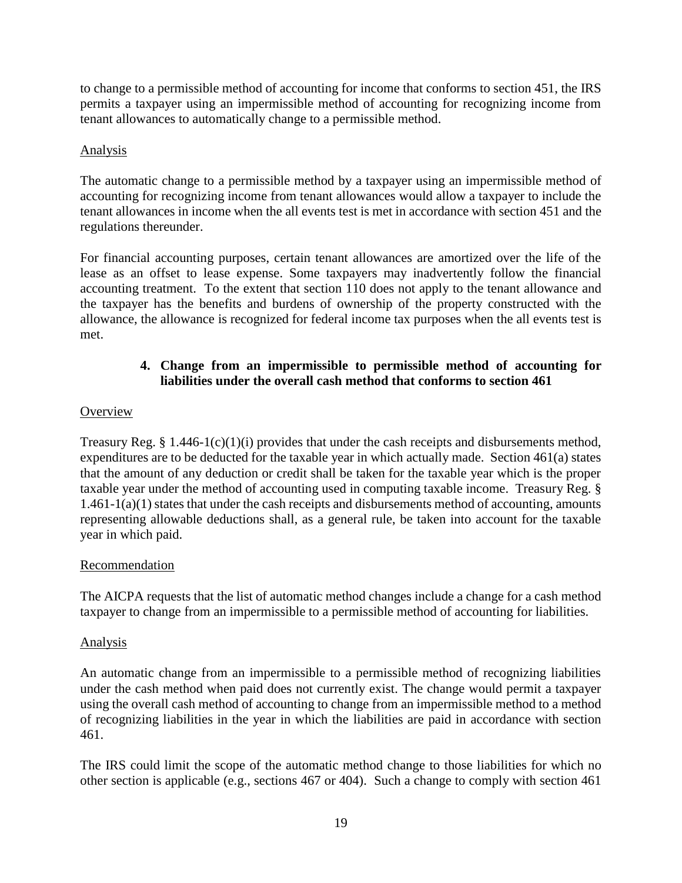to change to a permissible method of accounting for income that conforms to section 451, the IRS permits a taxpayer using an impermissible method of accounting for recognizing income from tenant allowances to automatically change to a permissible method.

### Analysis

The automatic change to a permissible method by a taxpayer using an impermissible method of accounting for recognizing income from tenant allowances would allow a taxpayer to include the tenant allowances in income when the all events test is met in accordance with section 451 and the regulations thereunder.

For financial accounting purposes, certain tenant allowances are amortized over the life of the lease as an offset to lease expense. Some taxpayers may inadvertently follow the financial accounting treatment. To the extent that section 110 does not apply to the tenant allowance and the taxpayer has the benefits and burdens of ownership of the property constructed with the allowance, the allowance is recognized for federal income tax purposes when the all events test is met.

## **4. Change from an impermissible to permissible method of accounting for liabilities under the overall cash method that conforms to section 461**

### **Overview**

Treasury Reg. § 1.446-1(c)(1)(i) provides that under the cash receipts and disbursements method, expenditures are to be deducted for the taxable year in which actually made. Section 461(a) states that the amount of any deduction or credit shall be taken for the taxable year which is the proper taxable year under the method of accounting used in computing taxable income. Treasury Reg. § 1.461-1(a)(1) states that under the cash receipts and disbursements method of accounting, amounts representing allowable deductions shall, as a general rule, be taken into account for the taxable year in which paid.

#### Recommendation

The AICPA requests that the list of automatic method changes include a change for a cash method taxpayer to change from an impermissible to a permissible method of accounting for liabilities.

#### Analysis

An automatic change from an impermissible to a permissible method of recognizing liabilities under the cash method when paid does not currently exist. The change would permit a taxpayer using the overall cash method of accounting to change from an impermissible method to a method of recognizing liabilities in the year in which the liabilities are paid in accordance with section 461.

The IRS could limit the scope of the automatic method change to those liabilities for which no other section is applicable (e.g., sections 467 or 404). Such a change to comply with section 461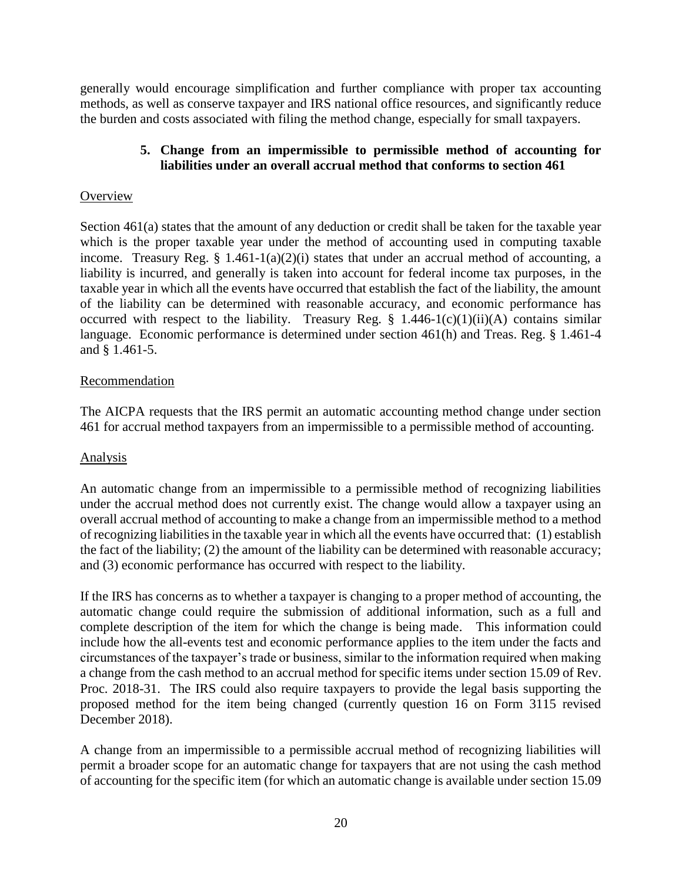generally would encourage simplification and further compliance with proper tax accounting methods, as well as conserve taxpayer and IRS national office resources, and significantly reduce the burden and costs associated with filing the method change, especially for small taxpayers.

### **5. Change from an impermissible to permissible method of accounting for liabilities under an overall accrual method that conforms to section 461**

### **Overview**

Section 461(a) states that the amount of any deduction or credit shall be taken for the taxable year which is the proper taxable year under the method of accounting used in computing taxable income. Treasury Reg.  $\S$  1.461-1(a)(2)(i) states that under an accrual method of accounting, a liability is incurred, and generally is taken into account for federal income tax purposes, in the taxable year in which all the events have occurred that establish the fact of the liability, the amount of the liability can be determined with reasonable accuracy, and economic performance has occurred with respect to the liability. Treasury Reg.  $\S$  1.446-1(c)(1)(ii)(A) contains similar language. Economic performance is determined under section 461(h) and Treas. Reg. § 1.461-4 and § 1.461-5.

### Recommendation

The AICPA requests that the IRS permit an automatic accounting method change under section 461 for accrual method taxpayers from an impermissible to a permissible method of accounting.

#### Analysis

An automatic change from an impermissible to a permissible method of recognizing liabilities under the accrual method does not currently exist. The change would allow a taxpayer using an overall accrual method of accounting to make a change from an impermissible method to a method of recognizing liabilities in the taxable year in which all the events have occurred that: (1) establish the fact of the liability; (2) the amount of the liability can be determined with reasonable accuracy; and (3) economic performance has occurred with respect to the liability.

If the IRS has concerns as to whether a taxpayer is changing to a proper method of accounting, the automatic change could require the submission of additional information, such as a full and complete description of the item for which the change is being made. This information could include how the all-events test and economic performance applies to the item under the facts and circumstances of the taxpayer's trade or business, similar to the information required when making a change from the cash method to an accrual method for specific items under section 15.09 of Rev. Proc. 2018-31. The IRS could also require taxpayers to provide the legal basis supporting the proposed method for the item being changed (currently question 16 on Form 3115 revised December 2018).

A change from an impermissible to a permissible accrual method of recognizing liabilities will permit a broader scope for an automatic change for taxpayers that are not using the cash method of accounting for the specific item (for which an automatic change is available under section 15.09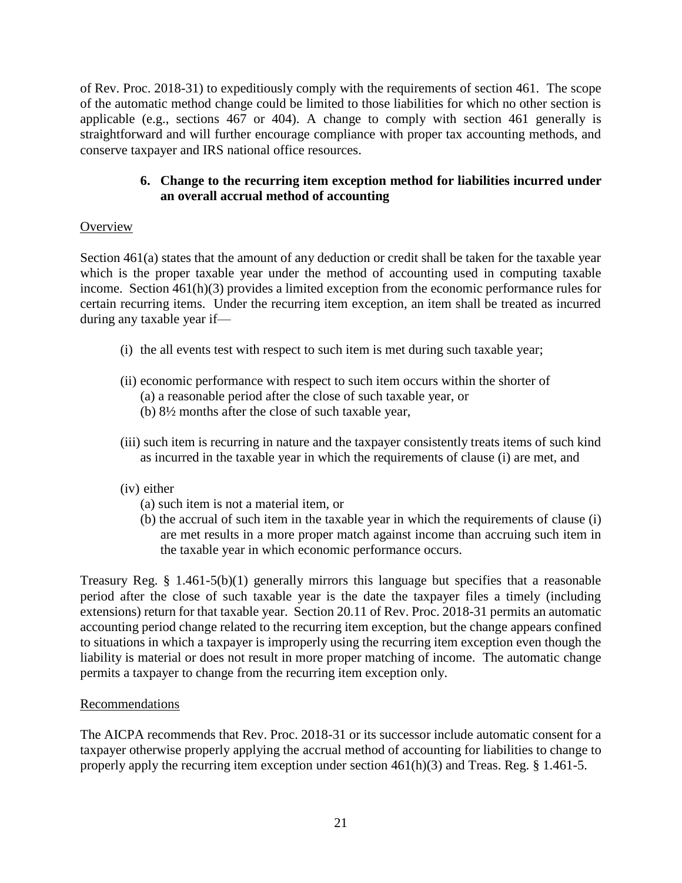of Rev. Proc. 2018-31) to expeditiously comply with the requirements of section 461. The scope of the automatic method change could be limited to those liabilities for which no other section is applicable (e.g., sections 467 or 404). A change to comply with section 461 generally is straightforward and will further encourage compliance with proper tax accounting methods, and conserve taxpayer and IRS national office resources.

## **6. Change to the recurring item exception method for liabilities incurred under an overall accrual method of accounting**

# **Overview**

Section 461(a) states that the amount of any deduction or credit shall be taken for the taxable year which is the proper taxable year under the method of accounting used in computing taxable income. Section 461(h)(3) provides a limited exception from the economic performance rules for certain recurring items. Under the recurring item exception, an item shall be treated as incurred during any taxable year if—

- (i) the all events test with respect to such item is met during such taxable year;
- (ii) economic performance with respect to such item occurs within the shorter of
	- (a) a reasonable period after the close of such taxable year, or
	- (b) 8½ months after the close of such taxable year,
- (iii) such item is recurring in nature and the taxpayer consistently treats items of such kind as incurred in the taxable year in which the requirements of [clause \(i\)](https://checkpoint.riag.com/app/main/docLinkNew?DocID=ibd446b5a19d711dcb1a9c7f8ee2eaa77&SrcDocId=T0TCODE%3A10897.1-1&feature=tcheckpoint&lastCpReqId=4202856&pinpnt=TCODE%3A10922.4&d=d#TCODE:10922.4) are met, and
- (iv) either
	- (a) such item is not a material item, or
	- (b) the accrual of such item in the taxable year in which the requirements of [clause \(i\)](https://checkpoint.riag.com/app/main/docLinkNew?DocID=ibd446b5a19d711dcb1a9c7f8ee2eaa77&SrcDocId=T0TCODE%3A10897.1-1&feature=tcheckpoint&lastCpReqId=4202856&pinpnt=TCODE%3A10922.4&d=d#TCODE:10922.4) are met results in a more proper match against income than accruing such item in the taxable year in which economic performance occurs.

Treasury Reg. § 1.461-5(b)(1) generally mirrors this language but specifies that a reasonable period after the close of such taxable year is the date the taxpayer files a timely (including extensions) return for that taxable year. Section 20.11 of Rev. Proc. 2018-31 permits an automatic accounting period change related to the recurring item exception, but the change appears confined to situations in which a taxpayer is improperly using the recurring item exception even though the liability is material or does not result in more proper matching of income. The automatic change permits a taxpayer to change from the recurring item exception only.

## **Recommendations**

The AICPA recommends that Rev. Proc. 2018-31 or its successor include automatic consent for a taxpayer otherwise properly applying the accrual method of accounting for liabilities to change to properly apply the recurring item exception under section 461(h)(3) and Treas. Reg. § 1.461-5.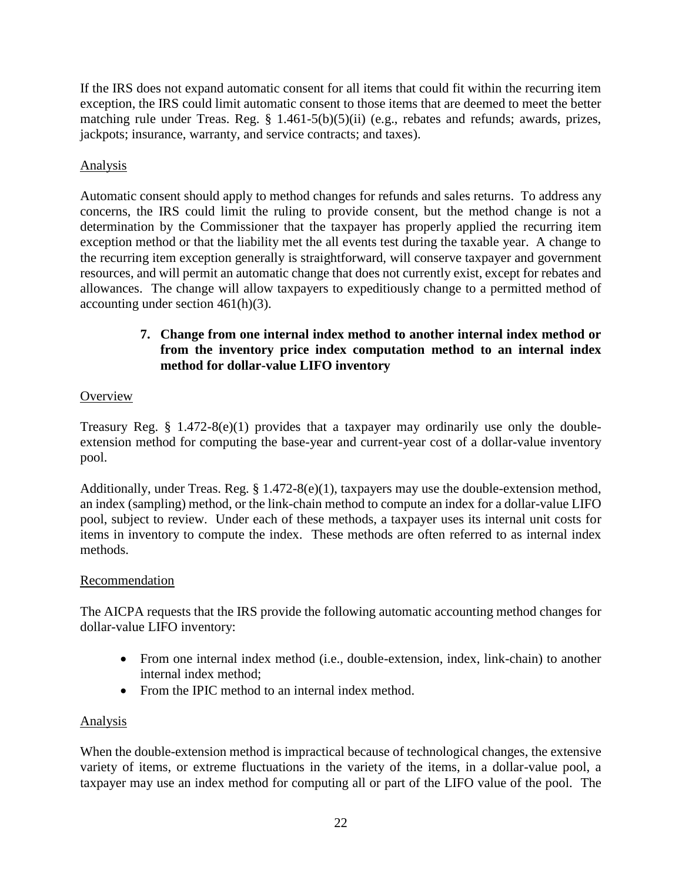If the IRS does not expand automatic consent for all items that could fit within the recurring item exception, the IRS could limit automatic consent to those items that are deemed to meet the better matching rule under Treas. Reg. § 1.461-5(b)(5)(ii) (e.g., rebates and refunds; awards, prizes, jackpots; insurance, warranty, and service contracts; and taxes).

# Analysis

Automatic consent should apply to method changes for refunds and sales returns. To address any concerns, the IRS could limit the ruling to provide consent, but the method change is not a determination by the Commissioner that the taxpayer has properly applied the recurring item exception method or that the liability met the all events test during the taxable year. A change to the recurring item exception generally is straightforward, will conserve taxpayer and government resources, and will permit an automatic change that does not currently exist, except for rebates and allowances. The change will allow taxpayers to expeditiously change to a permitted method of accounting under section 461(h)(3).

# **7. Change from one internal index method to another internal index method or from the inventory price index computation method to an internal index method for dollar-value LIFO inventory**

# **Overview**

Treasury Reg. § 1.472-8(e)(1) provides that a taxpayer may ordinarily use only the doubleextension method for computing the base-year and current-year cost of a dollar-value inventory pool.

Additionally, under Treas. Reg. § 1.472-8(e)(1), taxpayers may use the double-extension method, an index (sampling) method, or the link-chain method to compute an index for a dollar-value LIFO pool, subject to review. Under each of these methods, a taxpayer uses its internal unit costs for items in inventory to compute the index. These methods are often referred to as internal index methods.

## Recommendation

The AICPA requests that the IRS provide the following automatic accounting method changes for dollar-value LIFO inventory:

- From one internal index method (i.e., double-extension, index, link-chain) to another internal index method;
- From the IPIC method to an internal index method.

## Analysis

When the double-extension method is impractical because of technological changes, the extensive variety of items, or extreme fluctuations in the variety of the items, in a dollar-value pool, a taxpayer may use an index method for computing all or part of the LIFO value of the pool. The